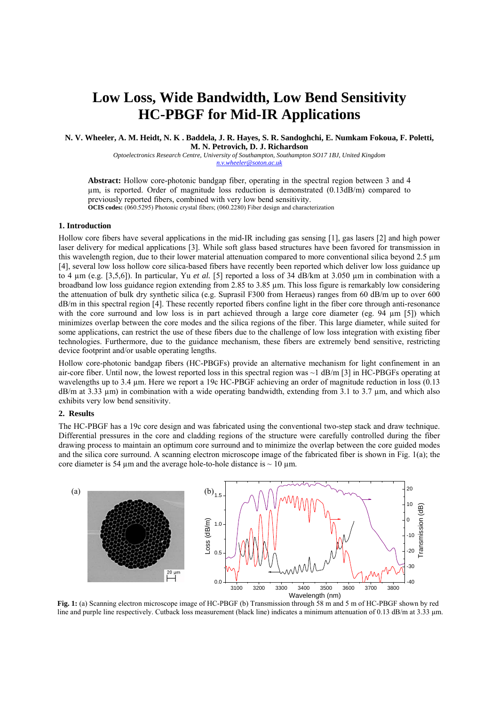# **Low Loss, Wide Bandwidth, Low Bend Sensitivity HC-PBGF for Mid-IR Applications**

**N. V. Wheeler, A. M. Heidt, N. K . Baddela, J. R. Hayes, S. R. Sandoghchi, E. Numkam Fokoua, F. Poletti, M. N. Petrovich, D. J. Richardson** 

*Optoelectronics Research Centre, University of Southampton, Southampton SO17 1BJ, United Kingdom n.v.wheeler@soton.ac.uk*

**Abstract:** Hollow core-photonic bandgap fiber, operating in the spectral region between 3 and 4 µm, is reported. Order of magnitude loss reduction is demonstrated (0.13dB/m) compared to previously reported fibers, combined with very low bend sensitivity. **OCIS codes:** (060.5295) Photonic crystal fibers; (060.2280) Fiber design and characterization

### **1. Introduction**

Hollow core fibers have several applications in the mid-IR including gas sensing [1], gas lasers [2] and high power laser delivery for medical applications [3]. While soft glass based structures have been favored for transmission in this wavelength region, due to their lower material attenuation compared to more conventional silica beyond 2.5 µm [4], several low loss hollow core silica-based fibers have recently been reported which deliver low loss guidance up to 4 µm (e.g. [3,5,6]). In particular, Yu *et al.* [5] reported a loss of 34 dB/km at 3.050 µm in combination with a broadband low loss guidance region extending from 2.85 to 3.85 µm. This loss figure is remarkably low considering the attenuation of bulk dry synthetic silica (e.g. Suprasil F300 from Heraeus) ranges from 60 dB/m up to over 600 dB/m in this spectral region [4]. These recently reported fibers confine light in the fiber core through anti-resonance with the core surround and low loss is in part achieved through a large core diameter (eg. 94  $\mu$ m [5]) which minimizes overlap between the core modes and the silica regions of the fiber. This large diameter, while suited for some applications, can restrict the use of these fibers due to the challenge of low loss integration with existing fiber technologies. Furthermore, due to the guidance mechanism, these fibers are extremely bend sensitive, restricting device footprint and/or usable operating lengths.

Hollow core-photonic bandgap fibers (HC-PBGFs) provide an alternative mechanism for light confinement in an air-core fiber. Until now, the lowest reported loss in this spectral region was ~1 dB/m [3] in HC-PBGFs operating at wavelengths up to 3.4 µm. Here we report a 19c HC-PBGF achieving an order of magnitude reduction in loss (0.13 dB/m at 3.33 µm) in combination with a wide operating bandwidth, extending from 3.1 to 3.7 µm, and which also exhibits very low bend sensitivity.

#### **2. Results**

The HC-PBGF has a 19c core design and was fabricated using the conventional two-step stack and draw technique. Differential pressures in the core and cladding regions of the structure were carefully controlled during the fiber drawing process to maintain an optimum core surround and to minimize the overlap between the core guided modes and the silica core surround. A scanning electron microscope image of the fabricated fiber is shown in Fig. 1(a); the core diameter is 54  $\mu$ m and the average hole-to-hole distance is  $\sim$  10  $\mu$ m.



**Fig. 1:** (a) Scanning electron microscope image of HC-PBGF (b) Transmission through 58 m and 5 m of HC-PBGF shown by red line and purple line respectively. Cutback loss measurement (black line) indicates a minimum attenuation of 0.13 dB/m at 3.33 µm.